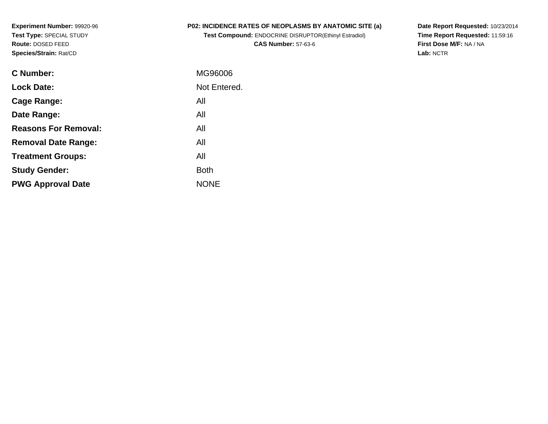**Experiment Number:** 99920-96**Test Type:** SPECIAL STUDY**Route:** DOSED FEED**Species/Strain:** Rat/CD

### **P02: INCIDENCE RATES OF NEOPLASMS BY ANATOMIC SITE (a)**

**Test Compound:** ENDOCRINE DISRUPTOR(Ethinyl Estradiol)**CAS Number:** 57-63-6

**Date Report Requested:** 10/23/2014 **Time Report Requested:** 11:59:16**First Dose M/F:** NA / NA**Lab:** NCTR

| C Number:                   | MG96006      |
|-----------------------------|--------------|
| <b>Lock Date:</b>           | Not Entered. |
| Cage Range:                 | All          |
| Date Range:                 | All          |
| <b>Reasons For Removal:</b> | All          |
| <b>Removal Date Range:</b>  | All          |
| <b>Treatment Groups:</b>    | All          |
| <b>Study Gender:</b>        | <b>Both</b>  |
| <b>PWG Approval Date</b>    | <b>NONF</b>  |
|                             |              |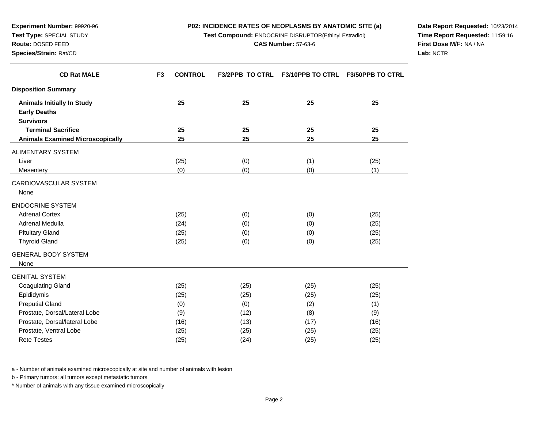**Test Compound:** ENDOCRINE DISRUPTOR(Ethinyl Estradiol)

**F3 CONTROL F3/2PPB TO CTRL F3/10PPB TO CTRL F3/50PPB TO CTRL**

**Date Report Requested:** 10/23/2014**Time Report Requested:** 11:59:16**First Dose M/F:** NA / NA**Lab:** NCTR

Page 2

a - Number of animals examined microscopically at site and number of animals with lesion

b - Primary tumors: all tumors except metastatic tumors

\* Number of animals with any tissue examined microscopically

| <b>Disposition Summary</b>              |      |      |      |      |
|-----------------------------------------|------|------|------|------|
| <b>Animals Initially In Study</b>       | 25   | 25   | 25   | 25   |
| <b>Early Deaths</b>                     |      |      |      |      |
| <b>Survivors</b>                        |      |      |      |      |
| <b>Terminal Sacrifice</b>               | 25   | 25   | 25   | 25   |
| <b>Animals Examined Microscopically</b> | 25   | 25   | 25   | 25   |
| <b>ALIMENTARY SYSTEM</b>                |      |      |      |      |
| Liver                                   | (25) | (0)  | (1)  | (25) |
| Mesentery                               | (0)  | (0)  | (0)  | (1)  |
| CARDIOVASCULAR SYSTEM                   |      |      |      |      |
| None                                    |      |      |      |      |
| <b>ENDOCRINE SYSTEM</b>                 |      |      |      |      |
| <b>Adrenal Cortex</b>                   | (25) | (0)  | (0)  | (25) |
| Adrenal Medulla                         | (24) | (0)  | (0)  | (25) |
| <b>Pituitary Gland</b>                  | (25) | (0)  | (0)  | (25) |
| <b>Thyroid Gland</b>                    | (25) | (0)  | (0)  | (25) |
| <b>GENERAL BODY SYSTEM</b>              |      |      |      |      |
| None                                    |      |      |      |      |
| <b>GENITAL SYSTEM</b>                   |      |      |      |      |
| <b>Coagulating Gland</b>                | (25) | (25) | (25) | (25) |
| Epididymis                              | (25) | (25) | (25) | (25) |
| <b>Preputial Gland</b>                  | (0)  | (0)  | (2)  | (1)  |
| Prostate, Dorsal/Lateral Lobe           | (9)  | (12) | (8)  | (9)  |
| Prostate, Dorsal/lateral Lobe           | (16) | (13) | (17) | (16) |
| Prostate, Ventral Lobe                  | (25) | (25) | (25) | (25) |
| <b>Rete Testes</b>                      | (25) | (24) | (25) | (25) |

# **Experiment Number:** 99920-96**Test Type:** SPECIAL STUDY**Route:** DOSED FEED

**CD Rat MALE**

**Species/Strain:** Rat/CD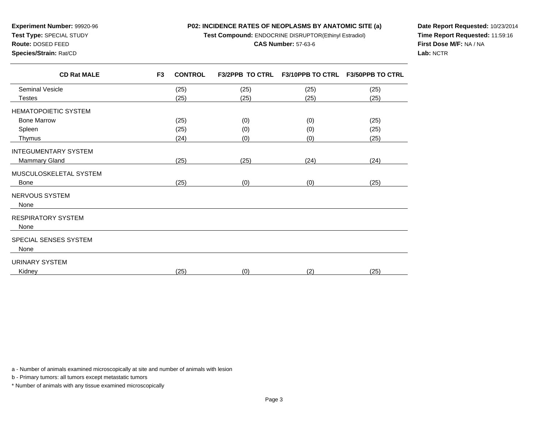**Test Compound:** ENDOCRINE DISRUPTOR(Ethinyl Estradiol)

#### **CAS Number:** 57-63-6

**Species/Strain:** Rat/CD

**Experiment Number:** 99920-96**Test Type:** SPECIAL STUDY**Route:** DOSED FEED

**Date Report Requested:** 10/23/2014**Time Report Requested:** 11:59:16**First Dose M/F:** NA / NA**Lab:** NCTR

| F <sub>3</sub><br><b>CONTROL</b> | <b>F3/2PPB TO CTRL</b> | <b>F3/10PPB TO CTRL</b> | <b>F3/50PPB TO CTRL</b> |
|----------------------------------|------------------------|-------------------------|-------------------------|
| (25)                             | (25)                   | (25)                    | (25)                    |
| (25)                             | (25)                   | (25)                    | (25)                    |
|                                  |                        |                         |                         |
| (25)                             | (0)                    | (0)                     | (25)                    |
| (25)                             | (0)                    | (0)                     | (25)                    |
| (24)                             | (0)                    | (0)                     | (25)                    |
|                                  |                        |                         |                         |
| (25)                             | (25)                   | (24)                    | (24)                    |
|                                  |                        |                         |                         |
| (25)                             | (0)                    | (0)                     | (25)                    |
|                                  |                        |                         |                         |
|                                  |                        |                         |                         |
|                                  |                        |                         |                         |
|                                  |                        |                         |                         |
|                                  |                        |                         |                         |
|                                  |                        |                         |                         |
| (25)                             | (0)                    | (2)                     | (25)                    |
|                                  |                        |                         |                         |

a - Number of animals examined microscopically at site and number of animals with lesion

b - Primary tumors: all tumors except metastatic tumors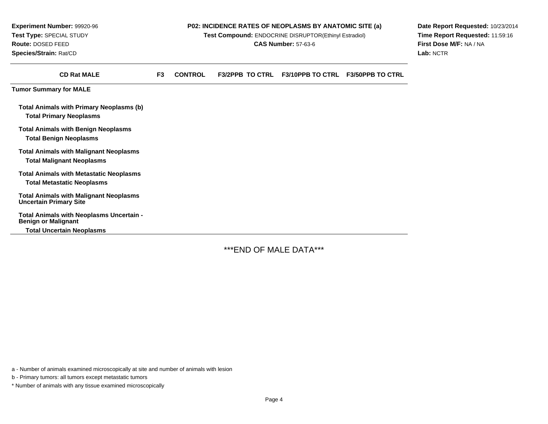**Experiment Number:** 99920-96**Test Type:** SPECIAL STUDY**Route:** DOSED FEED**Species/Strain:** Rat/CD

#### **P02: INCIDENCE RATES OF NEOPLASMS BY ANATOMIC SITE (a)**

**Test Compound:** ENDOCRINE DISRUPTOR(Ethinyl Estradiol)

**CAS Number:** 57-63-6

**Date Report Requested:** 10/23/2014**Time Report Requested:** 11:59:16**First Dose M/F:** NA / NA**Lab:** NCTR

| <b>CD Rat MALE</b>                                                                  | F <sub>3</sub> | <b>CONTROL</b> | <b>F3/2PPB TO CTRL</b> | <b>F3/10PPB TO CTRL</b> | <b>F3/50PPB TO CTRL</b> |
|-------------------------------------------------------------------------------------|----------------|----------------|------------------------|-------------------------|-------------------------|
| <b>Tumor Summary for MALE</b>                                                       |                |                |                        |                         |                         |
| Total Animals with Primary Neoplasms (b)<br><b>Total Primary Neoplasms</b>          |                |                |                        |                         |                         |
| <b>Total Animals with Benign Neoplasms</b><br><b>Total Benign Neoplasms</b>         |                |                |                        |                         |                         |
| <b>Total Animals with Malignant Neoplasms</b><br>Total Malignant Neoplasms          |                |                |                        |                         |                         |
| <b>Total Animals with Metastatic Neoplasms</b><br><b>Total Metastatic Neoplasms</b> |                |                |                        |                         |                         |
| <b>Total Animals with Malignant Neoplasms</b><br><b>Uncertain Primary Site</b>      |                |                |                        |                         |                         |
| <b>Total Animals with Neoplasms Uncertain -</b><br><b>Benign or Malignant</b>       |                |                |                        |                         |                         |
| <b>Total Uncertain Neoplasms</b>                                                    |                |                |                        |                         |                         |

\*\*\*END OF MALE DATA\*\*\*

a - Number of animals examined microscopically at site and number of animals with lesion

b - Primary tumors: all tumors except metastatic tumors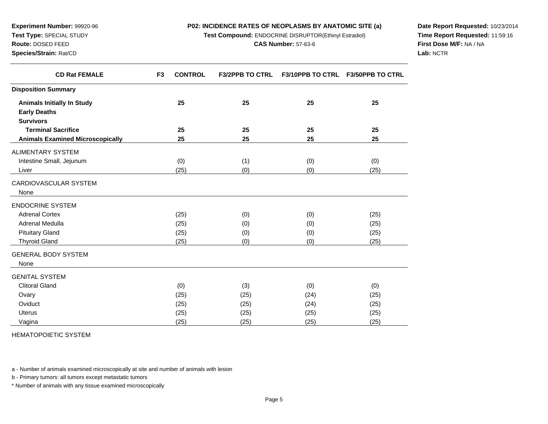**Test Compound:** ENDOCRINE DISRUPTOR(Ethinyl Estradiol)

**F3 CONTROL F3/2PPB TO CTRL F3/10PPB TO CTRL F3/50PPB TO CTRL**

**Date Report Requested:** 10/23/2014**Time Report Requested:** 11:59:16**First Dose M/F:** NA / NA**Lab:** NCTR

Page 5

HEMATOPOIETIC SYSTEM

a - Number of animals examined microscopically at site and number of animals with lesion

b - Primary tumors: all tumors except metastatic tumors

\* Number of animals with any tissue examined microscopically

| <b>THYTOIG ORIGIN</b> |
|-----------------------|
| GENERAL BODY SYSTEM   |
| None                  |
| GENITAL SYSTEM        |

| <b>Disposition Summary</b>              |      |      |      |      |
|-----------------------------------------|------|------|------|------|
| <b>Animals Initially In Study</b>       | 25   | 25   | 25   | 25   |
| <b>Early Deaths</b>                     |      |      |      |      |
| <b>Survivors</b>                        |      |      |      |      |
| <b>Terminal Sacrifice</b>               | 25   | 25   | 25   | 25   |
| <b>Animals Examined Microscopically</b> | 25   | 25   | 25   | 25   |
| <b>ALIMENTARY SYSTEM</b>                |      |      |      |      |
| Intestine Small, Jejunum                | (0)  | (1)  | (0)  | (0)  |
| Liver                                   | (25) | (0)  | (0)  | (25) |
| CARDIOVASCULAR SYSTEM                   |      |      |      |      |
| None                                    |      |      |      |      |
| <b>ENDOCRINE SYSTEM</b>                 |      |      |      |      |
| <b>Adrenal Cortex</b>                   | (25) | (0)  | (0)  | (25) |
| Adrenal Medulla                         | (25) | (0)  | (0)  | (25) |
| <b>Pituitary Gland</b>                  | (25) | (0)  | (0)  | (25) |
| <b>Thyroid Gland</b>                    | (25) | (0)  | (0)  | (25) |
| <b>GENERAL BODY SYSTEM</b>              |      |      |      |      |
| None                                    |      |      |      |      |
| <b>GENITAL SYSTEM</b>                   |      |      |      |      |
| <b>Clitoral Gland</b>                   | (0)  | (3)  | (0)  | (0)  |
| Ovary                                   | (25) | (25) | (24) | (25) |
| Oviduct                                 | (25) | (25) | (24) | (25) |
| Uterus                                  | (25) | (25) | (25) | (25) |
| Vagina                                  | (25) | (25) | (25) | (25) |

## **Experiment Number:** 99920-96**Test Type:** SPECIAL STUDY**Route:** DOSED FEED**Species/Strain:** Rat/CD

**CD Rat FEMALE**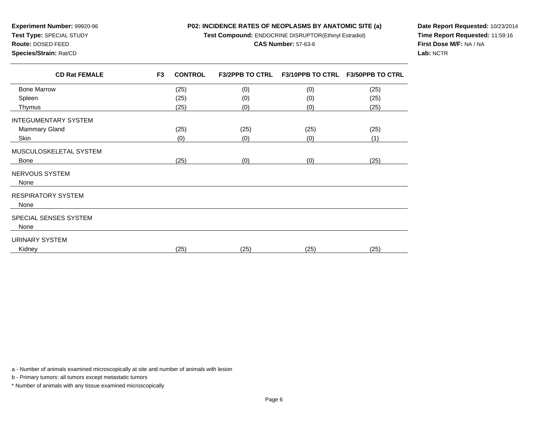**Test Compound:** ENDOCRINE DISRUPTOR(Ethinyl Estradiol)

#### **CAS Number:** 57-63-6

**Species/Strain:** Rat/CD

**Experiment Number:** 99920-96**Test Type:** SPECIAL STUDY**Route:** DOSED FEED

**Date Report Requested:** 10/23/2014**Time Report Requested:** 11:59:16**First Dose M/F:** NA / NA**Lab:** NCTR

| <b>CD Rat FEMALE</b>        | F <sub>3</sub> | <b>CONTROL</b> | <b>F3/2PPB TO CTRL</b> | F3/10PPB TO CTRL F3/50PPB TO CTRL |      |
|-----------------------------|----------------|----------------|------------------------|-----------------------------------|------|
| <b>Bone Marrow</b>          |                | (25)           | (0)                    | (0)                               | (25) |
| Spleen                      |                | (25)           | (0)                    | (0)                               | (25) |
| Thymus                      |                | (25)           | (0)                    | (0)                               | (25) |
| <b>INTEGUMENTARY SYSTEM</b> |                |                |                        |                                   |      |
| Mammary Gland               |                | (25)           | (25)                   | (25)                              | (25) |
| Skin                        |                | (0)            | (0)                    | (0)                               | (1)  |
| MUSCULOSKELETAL SYSTEM      |                |                |                        |                                   |      |
| <b>Bone</b>                 |                | (25)           | (0)                    | (0)                               | (25) |
| NERVOUS SYSTEM              |                |                |                        |                                   |      |
| None                        |                |                |                        |                                   |      |
| <b>RESPIRATORY SYSTEM</b>   |                |                |                        |                                   |      |
| None                        |                |                |                        |                                   |      |
| SPECIAL SENSES SYSTEM       |                |                |                        |                                   |      |
| None                        |                |                |                        |                                   |      |
| URINARY SYSTEM              |                |                |                        |                                   |      |
| Kidney                      |                | (25)           | (25)                   | (25)                              | (25) |

a - Number of animals examined microscopically at site and number of animals with lesion

b - Primary tumors: all tumors except metastatic tumors